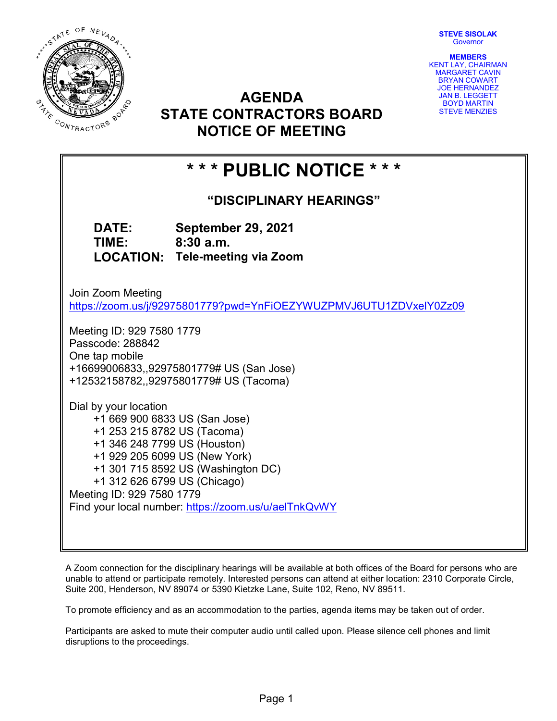STEVE SISOLAK **Governor** 



AGENDA STATE CONTRACTORS BOARD NOTICE OF MEETING

MEMBERS KENT LAY, CHAIRMAN MARGARET CAVIN BRYAN COWART JOE HERNANDEZ JAN B. LEGGETT BOYD MARTIN STEVE MENZIES

# \* \* \* PUBLIC NOTICE \* \* \*

"DISCIPLINARY HEARINGS"

DATE: September 29, 2021 TIME: 8:30 a.m. LOCATION: Tele-meeting via Zoom

Join Zoom Meeting https://zoom.us/j/92975801779?pwd=YnFiOEZYWUZPMVJ6UTU1ZDVxelY0Zz09

Meeting ID: 929 7580 1779 Passcode: 288842 One tap mobile +16699006833,,92975801779# US (San Jose) +12532158782,,92975801779# US (Tacoma)

Dial by your location +1 669 900 6833 US (San Jose) +1 253 215 8782 US (Tacoma) +1 346 248 7799 US (Houston) +1 929 205 6099 US (New York) +1 301 715 8592 US (Washington DC) +1 312 626 6799 US (Chicago) Meeting ID: 929 7580 1779 Find your local number: https://zoom.us/u/aelTnkQvWY

A Zoom connection for the disciplinary hearings will be available at both offices of the Board for persons who are unable to attend or participate remotely. Interested persons can attend at either location: 2310 Corporate Circle, Suite 200, Henderson, NV 89074 or 5390 Kietzke Lane, Suite 102, Reno, NV 89511.

To promote efficiency and as an accommodation to the parties, agenda items may be taken out of order.

Participants are asked to mute their computer audio until called upon. Please silence cell phones and limit disruptions to the proceedings.